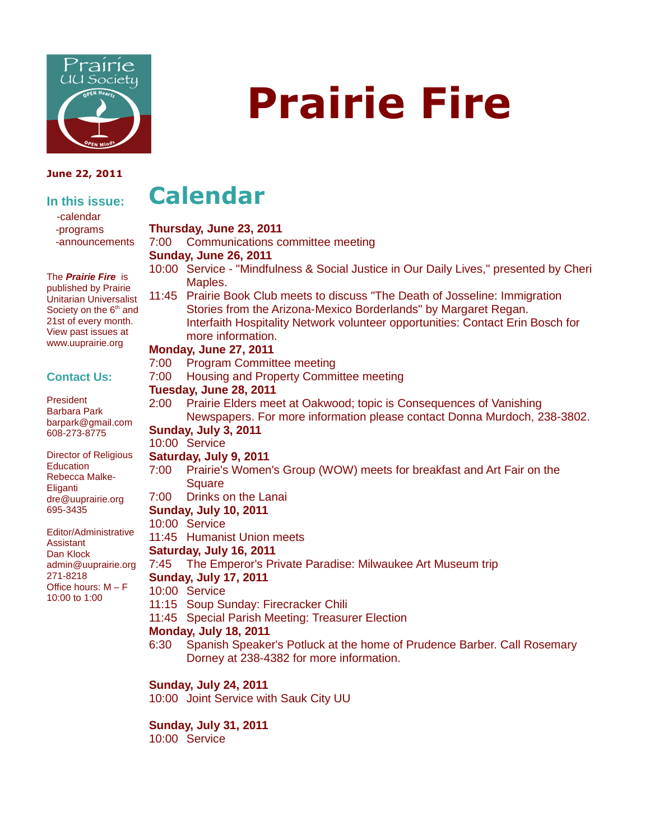

#### **June 22, 2011**

#### **In this issue:** -calendar -programs -announcements

The **Prairie Fire** is published by Prairie Unitarian Universalist Society on the 6<sup>th</sup> and 21st of every month. View past issues at www.uuprairie.org

#### **Contact Us:**

President Barbara Park barpark@gmail.com 608-273-8775

Director of Religious **Education** Rebecca Malke-**Eliganti** dre@uuprairie.org 695-3435

Editor/Administrative **Assistant** Dan Klock admin@uuprairie.org 271-8218 Office hours: M – F 10:00 to 1:00

# **Prairie Fire**

### **Calendar**

#### **Thursday, June 23, 2011**

7:00 Communications committee meeting

#### **Sunday, June 26, 2011**

- 10:00 Service "Mindfulness & Social Justice in Our Daily Lives," presented by Cheri Maples.
- 11:45 Prairie Book Club meets to discuss "The Death of Josseline: Immigration Stories from the Arizona-Mexico Borderlands" by Margaret Regan. Interfaith Hospitality Network volunteer opportunities: Contact Erin Bosch for more information.

#### **Monday, June 27, 2011**

- 7:00 Program Committee meeting
- 7:00 Housing and Property Committee meeting

#### **Tuesday, June 28, 2011**

2:00 Prairie Elders meet at Oakwood; topic is Consequences of Vanishing Newspapers. For more information please contact Donna Murdoch, 238-3802.

#### **Sunday, July 3, 2011**

#### 10:00 Service

- **Saturday, July 9, 2011**
- 7:00 Prairie's Women's Group (WOW) meets for breakfast and Art Fair on the **Square**
- 7:00 Drinks on the Lanai

#### **Sunday, July 10, 2011**

- 10:00 Service
- 11:45 Humanist Union meets

#### **Saturday, July 16, 2011**

7:45 The Emperor's Private Paradise: Milwaukee Art Museum trip

#### **Sunday, July 17, 2011**

- 10:00 Service
- 11:15 Soup Sunday: Firecracker Chili
- 11:45 Special Parish Meeting: Treasurer Election

#### **Monday, July 18, 2011**

6:30 Spanish Speaker's Potluck at the home of Prudence Barber. Call Rosemary Dorney at 238-4382 for more information.

#### **Sunday, July 24, 2011**

10:00 Joint Service with Sauk City UU

#### **Sunday, July 31, 2011**

10:00 Service